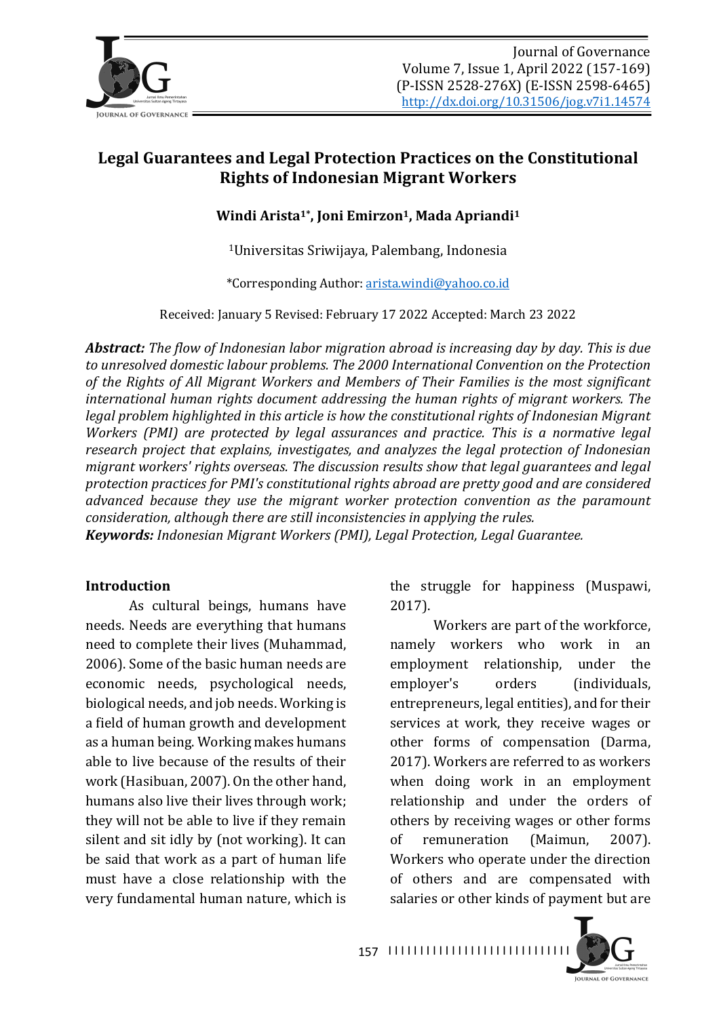

# Legal Guarantees and Legal Protection Practices on the Constitutional **Rights of Indonesian Migrant Workers**

Windi Arista<sup>1\*</sup>, Joni Emirzon<sup>1</sup>, Mada Apriandi<sup>1</sup>

<sup>1</sup>Universitas Sriwijaya, Palembang, Indonesia

\*Corresponding Author: arista.windi@yahoo.co.id

Received: January 5 Revised: February 17 2022 Accepted: March 23 2022

**Abstract:** The flow of Indonesian labor migration abroad is increasing day by day. This is due to unresolved domestic labour problems. The 2000 International Convention on the Protection of the Rights of All Migrant Workers and Members of Their Families is the most significant *international human rights document addressing the human rights of migrant workers. The legal problem highlighted in this article is how the constitutional rights of Indonesian Migrant Workers* (PMI) are protected by legal assurances and practice. This is a normative legal *research project that explains, investigates, and analyzes the legal protection of Indonesian migrant workers' rights overseas. The discussion results show that legal guarantees and legal* protection practices for PMI's constitutional rights abroad are pretty good and are considered advanced because they use the migrant worker protection convention as the paramount *consideration, although there are still inconsistencies in applying the rules.* 

*Keywords: Indonesian Migrant Workers (PMI), Legal Protection, Legal Guarantee.* 

#### **Introduction**

As cultural beings, humans have needs. Needs are everything that humans need to complete their lives (Muhammad, 2006). Some of the basic human needs are economic needs, psychological needs, biological needs, and job needs. Working is a field of human growth and development as a human being. Working makes humans able to live because of the results of their work (Hasibuan, 2007). On the other hand, humans also live their lives through work; they will not be able to live if they remain silent and sit idly by (not working). It can be said that work as a part of human life must have a close relationship with the very fundamental human nature, which is the struggle for happiness (Muspawi, 2017).

Workers are part of the workforce, namely workers who work in an employment relationship, under the employer's orders (individuals, entrepreneurs, legal entities), and for their services at work, they receive wages or other forms of compensation (Darma, 2017). Workers are referred to as workers when doing work in an employment relationship and under the orders of others by receiving wages or other forms of remuneration (Maimun, 2007). Workers who operate under the direction of others and are compensated with salaries or other kinds of payment but are

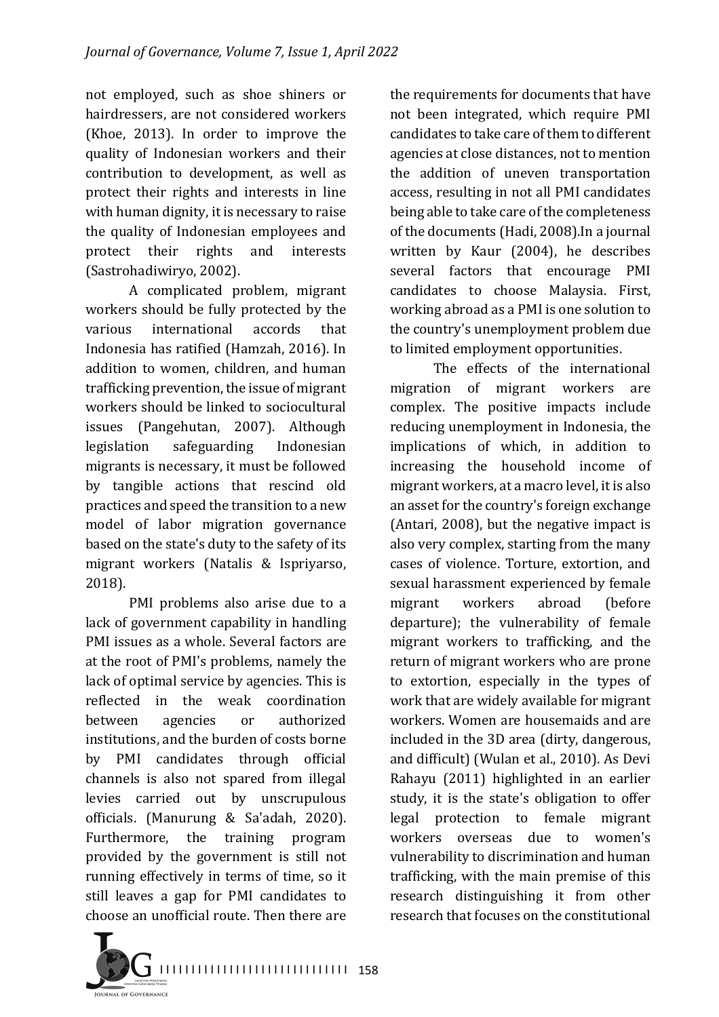not employed, such as shoe shiners or hairdressers, are not considered workers (Khoe, 2013). In order to improve the quality of Indonesian workers and their contribution to development, as well as protect their rights and interests in line with human dignity, it is necessary to raise the quality of Indonesian employees and protect their rights and interests (Sastrohadiwiryo, 2002).

A complicated problem, migrant workers should be fully protected by the various international accords that Indonesia has ratified (Hamzah, 2016). In addition to women, children, and human trafficking prevention, the issue of migrant workers should be linked to sociocultural issues (Pangehutan, 2007). Although legislation safeguarding Indonesian migrants is necessary, it must be followed by tangible actions that rescind old practices and speed the transition to a new model of labor migration governance based on the state's duty to the safety of its migrant workers (Natalis & Ispriyarso, 2018).

PMI problems also arise due to a lack of government capability in handling PMI issues as a whole. Several factors are at the root of PMI's problems, namely the lack of optimal service by agencies. This is reflected in the weak coordination between agencies or authorized institutions, and the burden of costs borne by PMI candidates through official channels is also not spared from illegal levies carried out by unscrupulous officials. (Manurung & Sa'adah, 2020). Furthermore, the training program provided by the government is still not running effectively in terms of time, so it still leaves a gap for PMI candidates to choose an unofficial route. Then there are

the requirements for documents that have not been integrated, which require PMI candidates to take care of them to different agencies at close distances, not to mention the addition of uneven transportation access, resulting in not all PMI candidates being able to take care of the completeness of the documents (Hadi, 2008).In a journal written by Kaur (2004), he describes several factors that encourage PMI candidates to choose Malaysia. First, working abroad as a PMI is one solution to the country's unemployment problem due to limited employment opportunities.

The effects of the international migration of migrant workers are complex. The positive impacts include reducing unemployment in Indonesia, the implications of which, in addition to increasing the household income of migrant workers, at a macro level, it is also an asset for the country's foreign exchange (Antari, 2008), but the negative impact is also very complex, starting from the many cases of violence. Torture, extortion, and sexual harassment experienced by female migrant workers abroad (before departure); the vulnerability of female migrant workers to trafficking, and the return of migrant workers who are prone to extortion, especially in the types of work that are widely available for migrant workers. Women are housemaids and are included in the 3D area (dirty, dangerous, and difficult) (Wulan et al., 2010). As Devi Rahayu (2011) highlighted in an earlier study, it is the state's obligation to offer legal protection to female migrant workers overseas due to women's vulnerability to discrimination and human trafficking, with the main premise of this research distinguishing it from other research that focuses on the constitutional

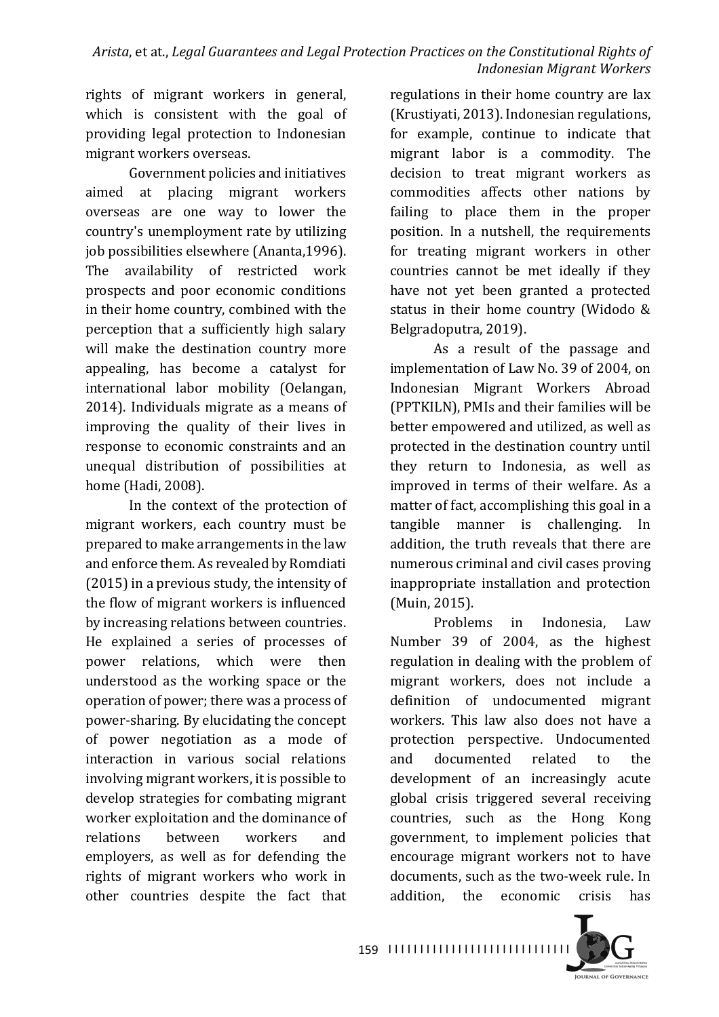*Arista,* et at., *Legal Guarantees and Legal Protection Practices on the Constitutional Rights of Indonesian Migrant Workers*

rights of migrant workers in general, which is consistent with the goal of providing legal protection to Indonesian migrant workers overseas.

Government policies and initiatives aimed at placing migrant workers overseas are one way to lower the country's unemployment rate by utilizing job possibilities elsewhere (Ananta,1996). The availability of restricted work prospects and poor economic conditions in their home country, combined with the perception that a sufficiently high salary will make the destination country more appealing, has become a catalyst for international labor mobility (Oelangan, 2014). Individuals migrate as a means of improving the quality of their lives in response to economic constraints and an unequal distribution of possibilities at home (Hadi, 2008).

In the context of the protection of migrant workers, each country must be prepared to make arrangements in the law and enforce them. As revealed by Romdiati  $(2015)$  in a previous study, the intensity of the flow of migrant workers is influenced by increasing relations between countries. He explained a series of processes of power relations, which were then understood as the working space or the operation of power; there was a process of power-sharing. By elucidating the concept of power negotiation as a mode of interaction in various social relations involving migrant workers, it is possible to develop strategies for combating migrant worker exploitation and the dominance of relations between workers and employers, as well as for defending the rights of migrant workers who work in other countries despite the fact that regulations in their home country are lax (Krustiyati, 2013). Indonesian regulations, for example, continue to indicate that migrant labor is a commodity. The decision to treat migrant workers as commodities affects other nations by failing to place them in the proper position. In a nutshell, the requirements for treating migrant workers in other countries cannot be met ideally if they have not yet been granted a protected status in their home country (Widodo  $&$ Belgradoputra, 2019).

As a result of the passage and implementation of Law No. 39 of 2004, on Indonesian Migrant Workers Abroad (PPTKILN), PMIs and their families will be better empowered and utilized, as well as protected in the destination country until they return to Indonesia, as well as improved in terms of their welfare. As a matter of fact, accomplishing this goal in a tangible manner is challenging. In addition, the truth reveals that there are numerous criminal and civil cases proving inappropriate installation and protection (Muin, 2015).

Problems in Indonesia, Law Number 39 of 2004, as the highest regulation in dealing with the problem of migrant workers, does not include a definition of undocumented migrant workers. This law also does not have a protection perspective. Undocumented and documented related to the development of an increasingly acute global crisis triggered several receiving countries, such as the Hong Kong government, to implement policies that encourage migrant workers not to have documents, such as the two-week rule. In addition, the economic crisis has



159 1111111111111111111111111111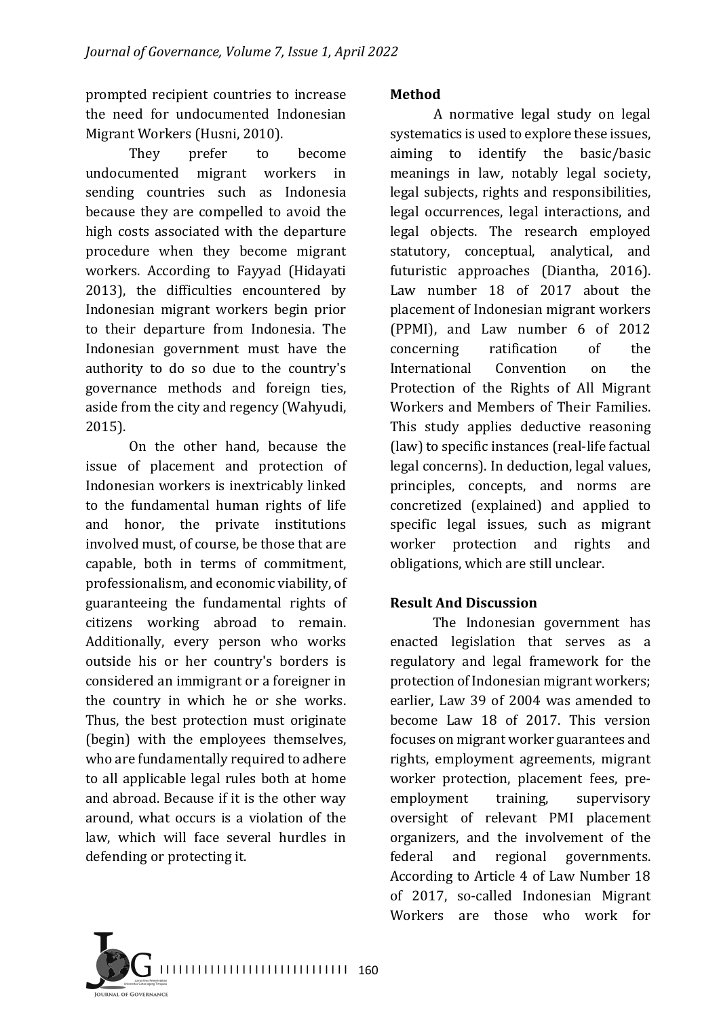prompted recipient countries to increase the need for undocumented Indonesian Migrant Workers (Husni, 2010).

They prefer to become undocumented migrant workers in sending countries such as Indonesia because they are compelled to avoid the high costs associated with the departure procedure when they become migrant workers. According to Fayyad (Hidayati 2013), the difficulties encountered by Indonesian migrant workers begin prior to their departure from Indonesia. The Indonesian government must have the authority to do so due to the country's governance methods and foreign ties, aside from the city and regency (Wahyudi, 2015).

On the other hand, because the issue of placement and protection of Indonesian workers is inextricably linked to the fundamental human rights of life and honor, the private institutions involved must, of course, be those that are capable, both in terms of commitment, professionalism, and economic viability, of guaranteeing the fundamental rights of citizens working abroad to remain. Additionally, every person who works outside his or her country's borders is considered an immigrant or a foreigner in the country in which he or she works. Thus, the best protection must originate (begin) with the employees themselves, who are fundamentally required to adhere to all applicable legal rules both at home and abroad. Because if it is the other way around, what occurs is a violation of the law, which will face several hurdles in defending or protecting it.

#### **Method**

A normative legal study on legal systematics is used to explore these issues, aiming to identify the basic/basic meanings in law, notably legal society, legal subjects, rights and responsibilities, legal occurrences, legal interactions, and legal objects. The research employed statutory, conceptual, analytical, and futuristic approaches (Diantha, 2016). Law number 18 of 2017 about the placement of Indonesian migrant workers (PPMI), and Law number 6 of 2012 concerning ratification of the International Convention on the Protection of the Rights of All Migrant Workers and Members of Their Families. This study applies deductive reasoning (law) to specific instances (real-life factual legal concerns). In deduction, legal values, principles, concepts, and norms are concretized (explained) and applied to specific legal issues, such as migrant worker protection and rights and obligations, which are still unclear.

### **Result And Discussion**

The Indonesian government has enacted legislation that serves as a regulatory and legal framework for the protection of Indonesian migrant workers; earlier, Law 39 of 2004 was amended to become Law 18 of 2017. This version focuses on migrant worker guarantees and rights, employment agreements, migrant worker protection, placement fees, preemployment training, supervisory oversight of relevant PMI placement organizers, and the involvement of the federal and regional governments. According to Article 4 of Law Number 18 of 2017, so-called Indonesian Migrant Workers are those who work for

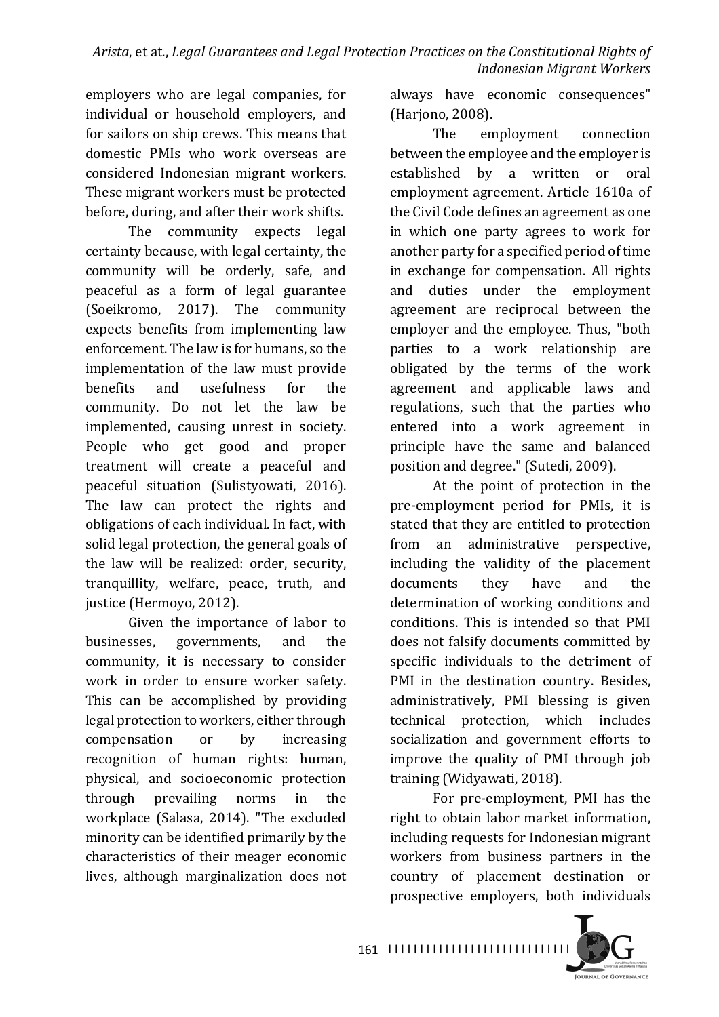employers who are legal companies, for individual or household employers, and for sailors on ship crews. This means that domestic PMIs who work overseas are considered Indonesian migrant workers. These migrant workers must be protected before, during, and after their work shifts.

The community expects legal certainty because, with legal certainty, the community will be orderly, safe, and peaceful as a form of legal guarantee (Soeikromo, 2017). The community expects benefits from implementing law enforcement. The law is for humans, so the implementation of the law must provide benefits and usefulness for the community. Do not let the law be implemented, causing unrest in society. People who get good and proper treatment will create a peaceful and peaceful situation (Sulistyowati, 2016). The law can protect the rights and obligations of each individual. In fact, with solid legal protection, the general goals of the law will be realized: order, security, tranquillity, welfare, peace, truth, and justice (Hermoyo, 2012).

Given the importance of labor to businesses, governments, and the community, it is necessary to consider work in order to ensure worker safety. This can be accomplished by providing legal protection to workers, either through compensation or by increasing recognition of human rights: human, physical, and socioeconomic protection through prevailing norms in the workplace (Salasa, 2014). "The excluded minority can be identified primarily by the characteristics of their meager economic lives, although marginalization does not always have economic consequences" (Harjono, 2008).

The employment connection between the employee and the employer is established by a written or oral employment agreement. Article 1610a of the Civil Code defines an agreement as one in which one party agrees to work for another party for a specified period of time in exchange for compensation. All rights and duties under the employment agreement are reciprocal between the employer and the employee. Thus, "both parties to a work relationship are obligated by the terms of the work agreement and applicable laws and regulations, such that the parties who entered into a work agreement in principle have the same and balanced position and degree." (Sutedi, 2009).

At the point of protection in the pre-employment period for PMIs, it is stated that they are entitled to protection from an administrative perspective, including the validity of the placement documents they have and the determination of working conditions and conditions. This is intended so that PMI does not falsify documents committed by specific individuals to the detriment of PMI in the destination country. Besides, administratively, PMI blessing is given technical protection, which includes socialization and government efforts to improve the quality of PMI through job training (Widyawati, 2018).

For pre-employment, PMI has the right to obtain labor market information, including requests for Indonesian migrant workers from business partners in the country of placement destination or prospective employers, both individuals

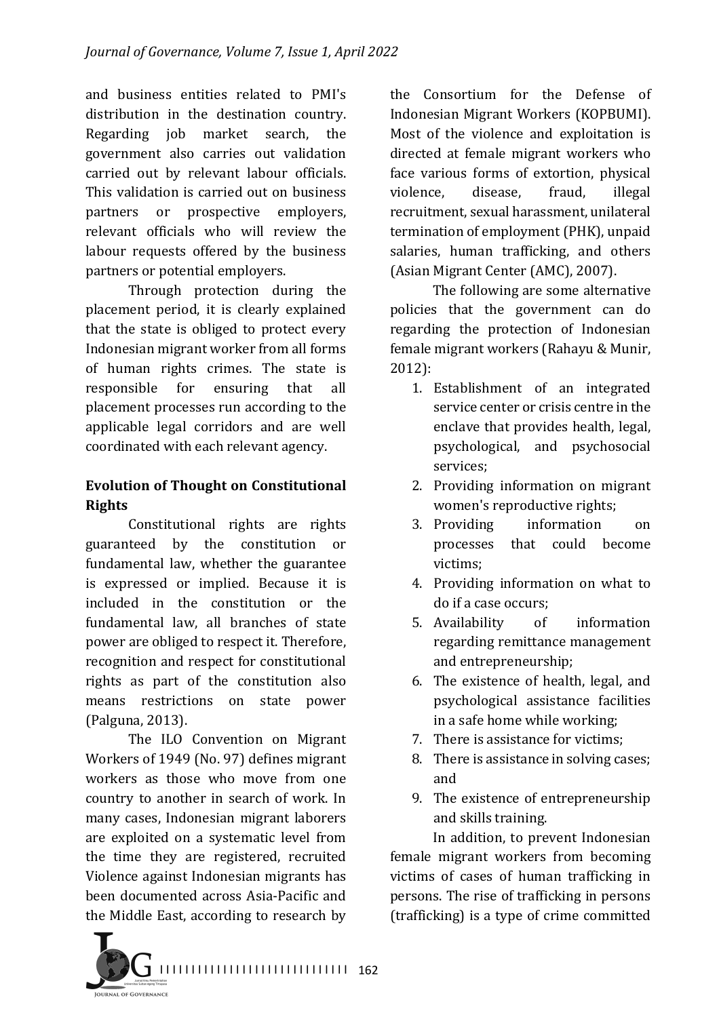and business entities related to PMI's distribution in the destination country. Regarding job market search, the government also carries out validation carried out by relevant labour officials. This validation is carried out on business partners or prospective employers, relevant officials who will review the labour requests offered by the business partners or potential employers.

Through protection during the placement period, it is clearly explained that the state is obliged to protect every Indonesian migrant worker from all forms of human rights crimes. The state is responsible for ensuring that all placement processes run according to the applicable legal corridors and are well coordinated with each relevant agency.

#### **Evolution of Thought on Constitutional Rights**

Constitutional rights are rights guaranteed by the constitution or fundamental law, whether the guarantee is expressed or implied. Because it is included in the constitution or the fundamental law, all branches of state power are obliged to respect it. Therefore, recognition and respect for constitutional rights as part of the constitution also means restrictions on state power (Palguna, 2013).

The ILO Convention on Migrant Workers of 1949 (No. 97) defines migrant workers as those who move from one country to another in search of work. In many cases, Indonesian migrant laborers are exploited on a systematic level from the time they are registered, recruited Violence against Indonesian migrants has been documented across Asia-Pacific and the Middle East, according to research by

the Consortium for the Defense of Indonesian Migrant Workers (KOPBUMI). Most of the violence and exploitation is directed at female migrant workers who face various forms of extortion, physical violence, disease, fraud, illegal recruitment, sexual harassment, unilateral termination of employment (PHK), unpaid salaries, human trafficking, and others (Asian Migrant Center (AMC), 2007).

The following are some alternative policies that the government can do regarding the protection of Indonesian female migrant workers (Rahayu & Munir, 2012):

- 1. Establishment of an integrated service center or crisis centre in the enclave that provides health, legal, psychological, and psychosocial services;
- 2. Providing information on migrant women's reproductive rights;
- 3. Providing information on processes that could become victims;
- 4. Providing information on what to do if a case occurs:
- 5. Availability of information regarding remittance management and entrepreneurship;
- 6. The existence of health, legal, and psychological assistance facilities in a safe home while working;
- 7. There is assistance for victims:
- 8. There is assistance in solving cases; and
- 9. The existence of entrepreneurship and skills training.

In addition, to prevent Indonesian female migrant workers from becoming victims of cases of human trafficking in persons. The rise of trafficking in persons (trafficking) is a type of crime committed

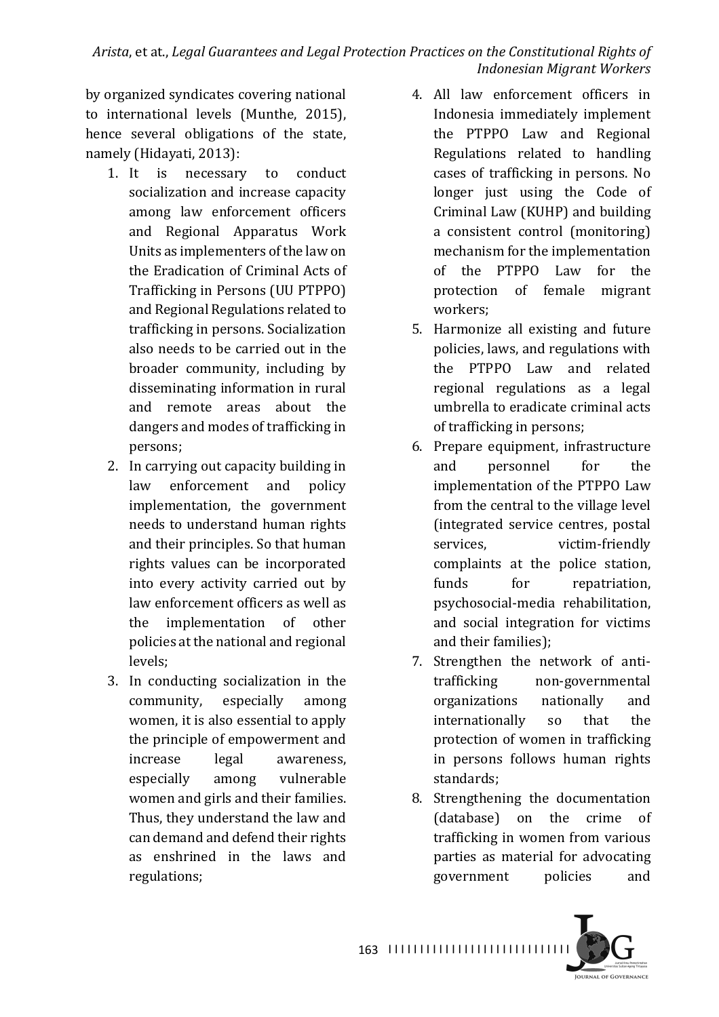Arista, et at., *Legal Guarantees and Legal Protection Practices on the Constitutional Rights of Indonesian Migrant Workers*

by organized syndicates covering national to international levels (Munthe, 2015), hence several obligations of the state, namely (Hidayati, 2013):

- 1. It is necessary to conduct socialization and increase capacity among law enforcement officers and Regional Apparatus Work Units as implementers of the law on the Eradication of Criminal Acts of Trafficking in Persons (UU PTPPO) and Regional Regulations related to trafficking in persons. Socialization also needs to be carried out in the broader community, including by disseminating information in rural and remote areas about the dangers and modes of trafficking in persons;
- 2. In carrying out capacity building in law enforcement and policy implementation, the government needs to understand human rights and their principles. So that human rights values can be incorporated into every activity carried out by law enforcement officers as well as the implementation of other policies at the national and regional levels;
- 3. In conducting socialization in the community, especially among women, it is also essential to apply the principle of empowerment and increase legal awareness, especially among vulnerable women and girls and their families. Thus, they understand the law and can demand and defend their rights as enshrined in the laws and regulations;
- 4. All law enforcement officers in Indonesia immediately implement the PTPPO Law and Regional Regulations related to handling cases of trafficking in persons. No longer just using the Code of Criminal Law (KUHP) and building a consistent control (monitoring) mechanism for the implementation of the PTPPO Law for the protection of female migrant workers;
- 5. Harmonize all existing and future policies, laws, and regulations with the PTPPO Law and related regional regulations as a legal umbrella to eradicate criminal acts of trafficking in persons;
- 6. Prepare equipment, infrastructure and personnel for the implementation of the PTPPO Law from the central to the village level (integrated service centres, postal services, victim-friendly complaints at the police station, funds for repatriation, psychosocial-media rehabilitation, and social integration for victims and their families);
- 7. Strengthen the network of antitrafficking non-governmental organizations nationally and internationally so that the protection of women in trafficking in persons follows human rights standards;
- 8. Strengthening the documentation (database) on the crime of trafficking in women from various parties as material for advocating government policies and

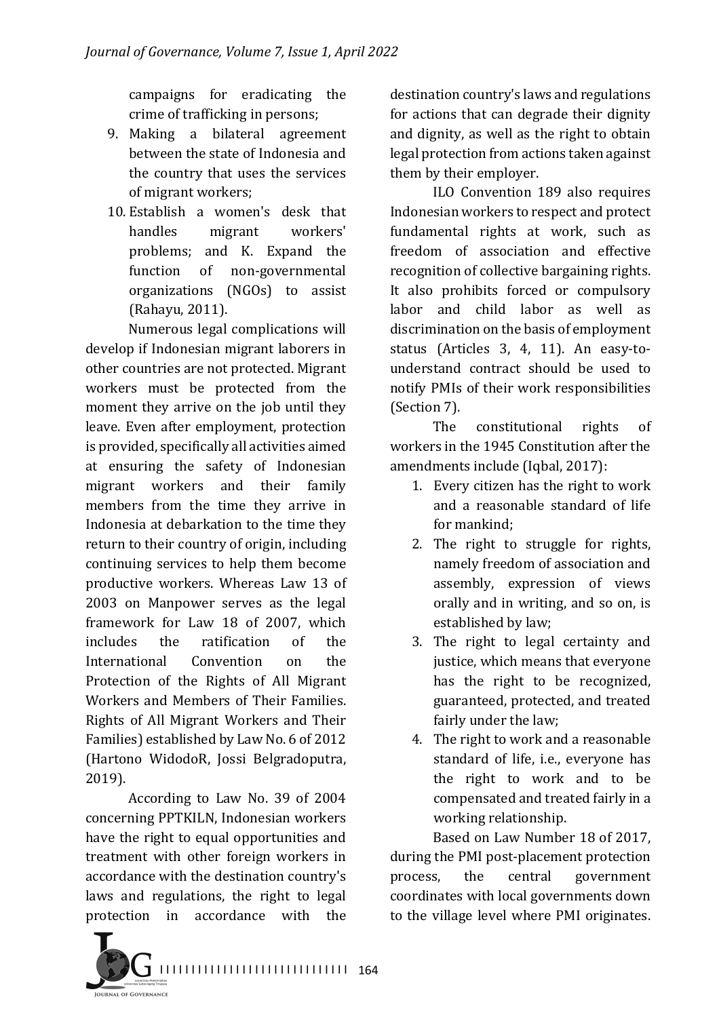campaigns for eradicating the crime of trafficking in persons;

- 9. Making a bilateral agreement between the state of Indonesia and the country that uses the services of migrant workers;
- 10. Establish a women's desk that handles migrant workers' problems; and K. Expand the function of non-governmental organizations (NGOs) to assist (Rahayu, 2011).

Numerous legal complications will develop if Indonesian migrant laborers in other countries are not protected. Migrant workers must be protected from the moment they arrive on the job until they leave. Even after employment, protection is provided, specifically all activities aimed at ensuring the safety of Indonesian migrant workers and their family members from the time they arrive in Indonesia at debarkation to the time they return to their country of origin, including continuing services to help them become productive workers. Whereas Law 13 of 2003 on Manpower serves as the legal framework for Law 18 of 2007, which includes the ratification of the International Convention on the Protection of the Rights of All Migrant Workers and Members of Their Families. Rights of All Migrant Workers and Their Families) established by Law No. 6 of 2012 (Hartono WidodoR, Jossi Belgradoputra, 2019).

According to Law No. 39 of 2004 concerning PPTKILN, Indonesian workers have the right to equal opportunities and treatment with other foreign workers in accordance with the destination country's laws and regulations, the right to legal protection in accordance with the

destination country's laws and regulations for actions that can degrade their dignity and dignity, as well as the right to obtain legal protection from actions taken against them by their employer.

ILO Convention 189 also requires Indonesian workers to respect and protect fundamental rights at work, such as freedom of association and effective recognition of collective bargaining rights. It also prohibits forced or compulsory labor and child labor as well as discrimination on the basis of employment status (Articles 3, 4, 11). An easy-tounderstand contract should be used to notify PMIs of their work responsibilities (Section 7).

The constitutional rights of workers in the 1945 Constitution after the amendments include (Iqbal, 2017):

- 1. Every citizen has the right to work and a reasonable standard of life for mankind:
- 2. The right to struggle for rights, namely freedom of association and assembly, expression of views orally and in writing, and so on, is established by law;
- 3. The right to legal certainty and justice, which means that everyone has the right to be recognized. guaranteed, protected, and treated fairly under the law;
- 4. The right to work and a reasonable standard of life, i.e., everyone has the right to work and to be compensated and treated fairly in a working relationship.

Based on Law Number 18 of 2017, during the PMI post-placement protection process, the central government coordinates with local governments down to the village level where PMI originates.

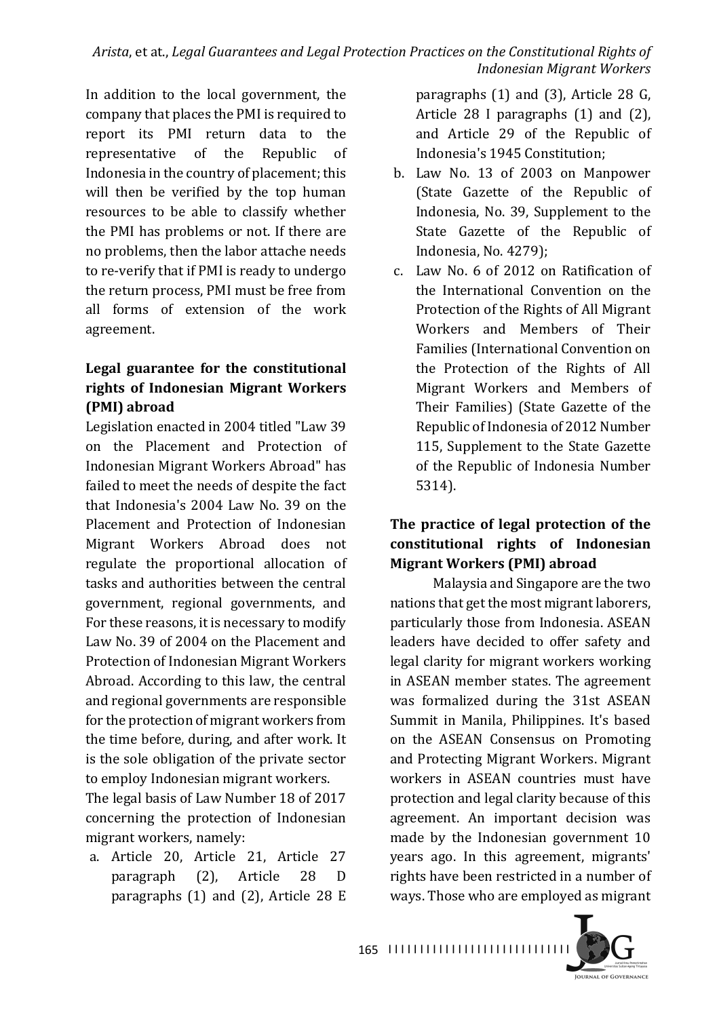In addition to the local government, the company that places the PMI is required to report its PMI return data to the representative of the Republic of Indonesia in the country of placement; this will then be verified by the top human resources to be able to classify whether the PMI has problems or not. If there are no problems, then the labor attache needs to re-verify that if PMI is ready to undergo the return process, PMI must be free from all forms of extension of the work agreement.

## Legal guarantee for the constitutional **rights of Indonesian Migrant Workers (PMI) abroad**

Legislation enacted in 2004 titled "Law 39 on the Placement and Protection of Indonesian Migrant Workers Abroad" has failed to meet the needs of despite the fact that Indonesia's 2004 Law No. 39 on the Placement and Protection of Indonesian Migrant Workers Abroad does not regulate the proportional allocation of tasks and authorities between the central government, regional governments, and For these reasons, it is necessary to modify Law No. 39 of 2004 on the Placement and Protection of Indonesian Migrant Workers Abroad. According to this law, the central and regional governments are responsible for the protection of migrant workers from the time before, during, and after work. It is the sole obligation of the private sector to employ Indonesian migrant workers.

The legal basis of Law Number 18 of 2017 concerning the protection of Indonesian migrant workers, namely:

a. Article 20, Article 21, Article 27 paragraph (2), Article 28 D paragraphs  $(1)$  and  $(2)$ , Article 28 E paragraphs  $(1)$  and  $(3)$ , Article 28 G, Article  $28$  I paragraphs  $(1)$  and  $(2)$ , and Article 29 of the Republic of Indonesia's 1945 Constitution:

- b. Law No. 13 of 2003 on Manpower (State Gazette of the Republic of Indonesia, No. 39, Supplement to the State Gazette of the Republic of Indonesia, No. 4279);
- c. Law No. 6 of 2012 on Ratification of the International Convention on the Protection of the Rights of All Migrant Workers and Members of Their Families (International Convention on the Protection of the Rights of All Migrant Workers and Members of Their Families) (State Gazette of the Republic of Indonesia of 2012 Number 115, Supplement to the State Gazette of the Republic of Indonesia Number 5314).

## The practice of legal protection of the **constitutional rights of Indonesian Migrant Workers (PMI) abroad**

Malaysia and Singapore are the two nations that get the most migrant laborers, particularly those from Indonesia. ASEAN leaders have decided to offer safety and legal clarity for migrant workers working in ASEAN member states. The agreement was formalized during the 31st ASEAN Summit in Manila, Philippines. It's based on the ASEAN Consensus on Promoting and Protecting Migrant Workers. Migrant workers in ASEAN countries must have protection and legal clarity because of this agreement. An important decision was made by the Indonesian government 10 years ago. In this agreement, migrants' rights have been restricted in a number of ways. Those who are employed as migrant

**JOURNAL OF GOVERNANCE**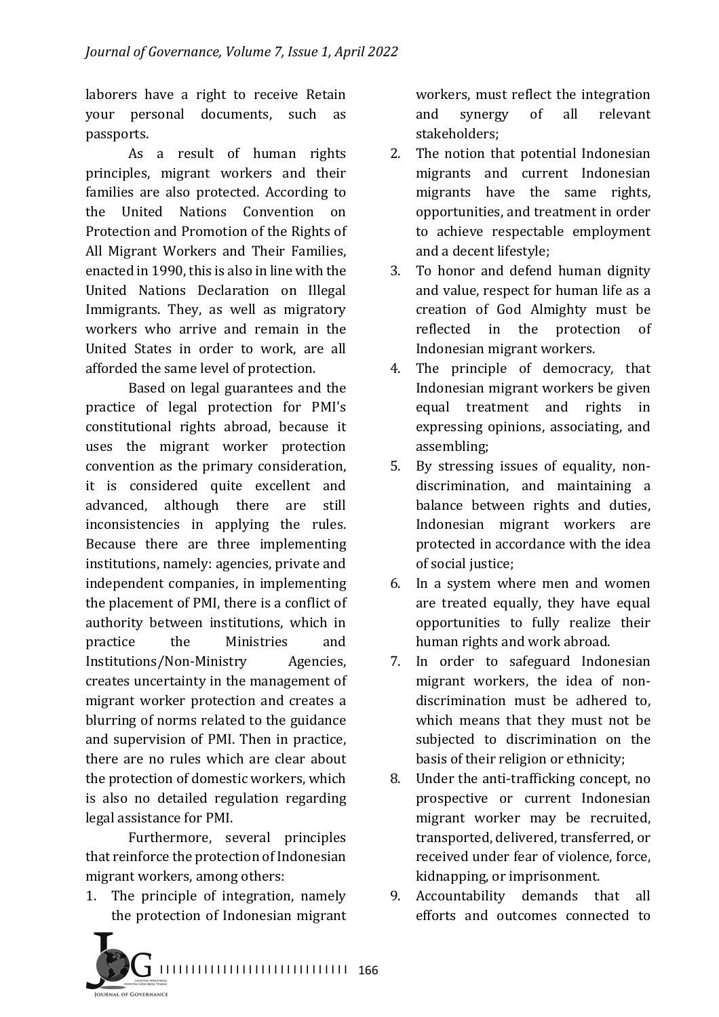laborers have a right to receive Retain your personal documents, such as passports.

As a result of human rights principles, migrant workers and their families are also protected. According to the United Nations Convention on Protection and Promotion of the Rights of All Migrant Workers and Their Families, enacted in 1990, this is also in line with the United Nations Declaration on Illegal Immigrants. They, as well as migratory workers who arrive and remain in the United States in order to work, are all afforded the same level of protection.

Based on legal guarantees and the practice of legal protection for PMI's constitutional rights abroad, because it uses the migrant worker protection convention as the primary consideration, it is considered quite excellent and advanced, although there are still inconsistencies in applying the rules. Because there are three implementing institutions, namely: agencies, private and independent companies, in implementing the placement of PMI, there is a conflict of authority between institutions, which in practice the Ministries and Institutions/Non-Ministry Agencies, creates uncertainty in the management of migrant worker protection and creates a blurring of norms related to the guidance and supervision of PMI. Then in practice, there are no rules which are clear about the protection of domestic workers, which is also no detailed regulation regarding legal assistance for PMI.

Furthermore, several principles that reinforce the protection of Indonesian migrant workers, among others:

1. The principle of integration, namely the protection of Indonesian migrant workers, must reflect the integration and synergy of all relevant stakeholders;

- 2. The notion that potential Indonesian migrants and current Indonesian migrants have the same rights, opportunities, and treatment in order to achieve respectable employment and a decent lifestyle;
- 3. To honor and defend human dignity and value, respect for human life as a creation of God Almighty must be reflected in the protection of Indonesian migrant workers.
- 4. The principle of democracy, that Indonesian migrant workers be given equal treatment and rights in expressing opinions, associating, and assembling;
- 5. By stressing issues of equality, nondiscrimination, and maintaining a balance between rights and duties, Indonesian migrant workers are protected in accordance with the idea of social justice;
- 6. In a system where men and women are treated equally, they have equal opportunities to fully realize their human rights and work abroad.
- 7. In order to safeguard Indonesian migrant workers, the idea of nondiscrimination must be adhered to, which means that they must not be subjected to discrimination on the basis of their religion or ethnicity;
- 8. Under the anti-trafficking concept, no prospective or current Indonesian migrant worker may be recruited, transported, delivered, transferred, or received under fear of violence, force, kidnapping, or imprisonment.
- 9. Accountability demands that all efforts and outcomes connected to

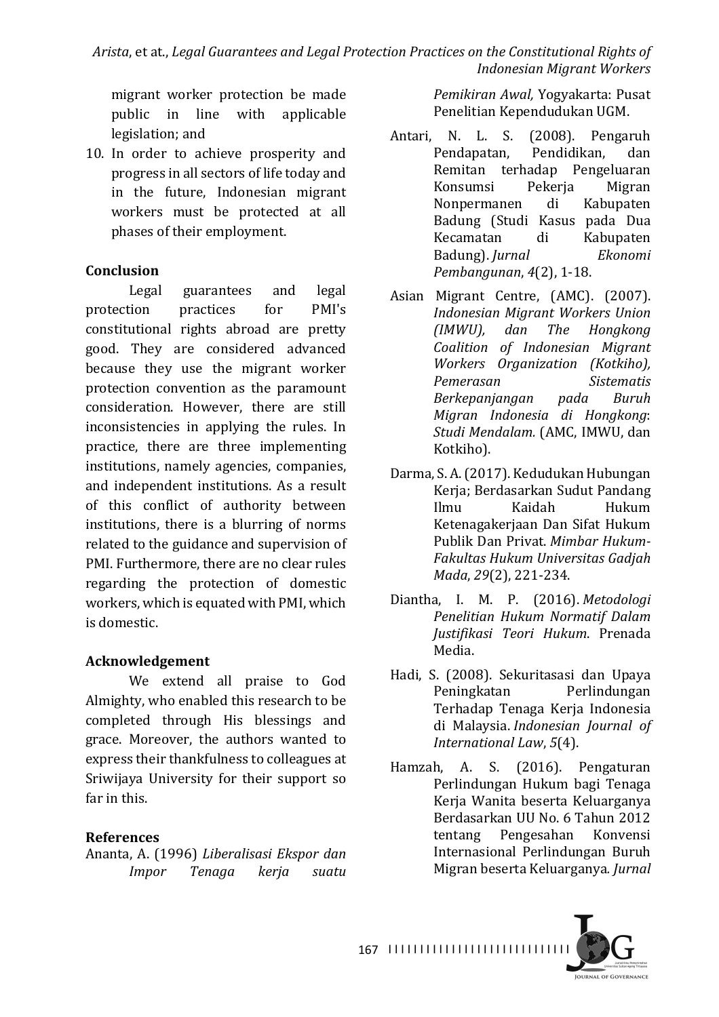migrant worker protection be made public in line with applicable legislation; and

10. In order to achieve prosperity and progress in all sectors of life today and in the future, Indonesian migrant workers must be protected at all phases of their employment.

## **Conclusion**

Legal guarantees and legal protection practices for PMI's constitutional rights abroad are pretty good. They are considered advanced because they use the migrant worker protection convention as the paramount consideration. However, there are still inconsistencies in applying the rules. In practice, there are three implementing institutions, namely agencies, companies, and independent institutions. As a result of this conflict of authority between institutions, there is a blurring of norms related to the guidance and supervision of PMI. Furthermore, there are no clear rules regarding the protection of domestic workers, which is equated with PMI, which is domestic.

# **Acknowledgement**

We extend all praise to God Almighty, who enabled this research to be completed through His blessings and grace. Moreover, the authors wanted to express their thankfulness to colleagues at Sriwijaya University for their support so far in this.

# **References**

Ananta, A. (1996) *Liberalisasi Ekspor dan Impor Tenaga kerja suatu* 

*Pemikiran Awal,* Yogyakarta: Pusat Penelitian Kependudukan UGM.

- Antari, N. L. S. (2008). Pengaruh Pendapatan, Pendidikan, dan Remitan terhadap Pengeluaran Konsumsi Pekerja Migran Nonpermanen di Kabupaten Badung (Studi Kasus pada Dua Kecamatan di Kabupaten Badung). *Jurnal Ekonomi Pembangunan*,  $4(2)$ , 1-18.
- Asian Migrant Centre, (AMC). (2007). *Indonesian Migrant Workers Union (IMWU), dan The Hongkong Coalition of Indonesian Migrant Workers Organization (Kotkiho), Pemerasan Sistematis Berkepanjangan pada Buruh Migran Indonesia di Hongkong*: *Studi Mendalam.* (AMC, IMWU, dan Kotkiho).
- Darma, S. A. (2017). Kedudukan Hubungan Kerja; Berdasarkan Sudut Pandang Ilmu Kaidah Hukum Ketenagakerjaan Dan Sifat Hukum Publik Dan Privat. Mimbar Hukum-*Fakultas Hukum Universitas Gadjah Mada*, 29(2), 221-234.
- Diantha, I. M. P. (2016). *Metodologi Penelitian Hukum Normatif Dalam Justifikasi Teori Hukum*. Prenada Media.
- Hadi, S. (2008). Sekuritasasi dan Upaya Peningkatan Perlindungan Terhadap Tenaga Kerja Indonesia di Malaysia. *Indonesian Journal of International Law*, *5*(4).
- Hamzah, A. S. (2016). Pengaturan Perlindungan Hukum bagi Tenaga Kerja Wanita beserta Keluarganya Berdasarkan UU No. 6 Tahun 2012 tentang Pengesahan Konvensi Internasional Perlindungan Buruh Migran beserta Keluarganya*. Jurnal*

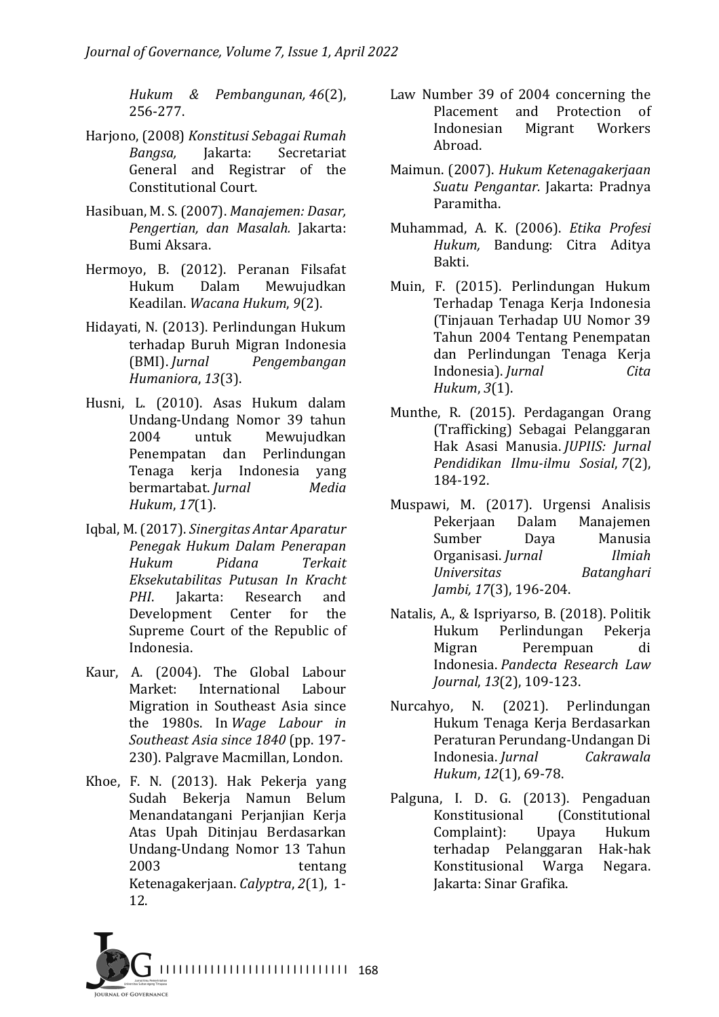*Hukum & Pembangunan, 46*(2), 256-277. 

- Harjono, (2008) Konstitusi Sebagai Rumah *Bangsa,*  Jakarta: Secretariat General and Registrar of the Constitutional Court.
- Hasibuan, M. S. (2007). *Manajemen: Dasar, Pengertian, dan Masalah.* Jakarta: Bumi Aksara.
- Hermoyo, B. (2012). Peranan Filsafat Hukum Dalam Mewujudkan Keadilan. *Wacana Hukum*, *9*(2).
- Hidayati, N. (2013). Perlindungan Hukum terhadap Buruh Migran Indonesia (BMI). *Jurnal Pengembangan Humaniora*, *13*(3).
- Husni, L. (2010). Asas Hukum dalam Undang-Undang Nomor 39 tahun 2004 untuk Mewujudkan Penempatan dan Perlindungan Tenaga kerja Indonesia yang bermartabat. *Jurnal Media Hukum*, *17*(1).
- Iqbal, M. (2017). *Sinergitas Antar Aparatur Penegak Hukum Dalam Penerapan Hukum Pidana Terkait Eksekutabilitas Putusan In Kracht PHI*. Jakarta: Research and Development Center for the Supreme Court of the Republic of Indonesia.
- Kaur, A. (2004). The Global Labour Market: International Labour Migration in Southeast Asia since the 1980s. In *Wage Labour* in *Southeast Asia since 1840* (pp. 197- 230). Palgrave Macmillan, London.
- Khoe, F. N. (2013). Hak Pekerja yang Sudah Bekerja Namun Belum Menandatangani Perjanjian Kerja Atas Upah Ditinjau Berdasarkan Undang-Undang Nomor 13 Tahun 2003 tentang Ketenagakerjaan. *Calyptra*, *2*(1), 1- 12.
- Law Number 39 of 2004 concerning the Placement and Protection of Indonesian Migrant Workers Abroad.
- Maimun. (2007). *Hukum Ketenagakerjaan Suatu Pengantar.* Jakarta: Pradnya Paramitha.
- Muhammad, A. K. (2006). *Etika Profesi Hukum,*  Bandung: Citra Aditya Bakti.
- Muin, F. (2015). Perlindungan Hukum Terhadap Tenaga Keria Indonesia (Tinjauan Terhadap UU Nomor 39 Tahun 2004 Tentang Penempatan dan Perlindungan Tenaga Kerja Indonesia). *Jurnal Cita Hukum*, *3*(1).
- Munthe, R. (2015). Perdagangan Orang (Trafficking) Sebagai Pelanggaran Hak Asasi Manusia. *JUPIIS: Jurnal Pendidikan Ilmu-ilmu Sosial*, *7*(2), 184-192.
- Muspawi, M. (2017). Urgensi Analisis Pekerjaan Dalam Manajemen Sumber Dava Manusia Organisasi. *Jurnal Ilmiah Universitas Batanghari Jambi, 17*(3), 196-204.
- Natalis, A., & Ispriyarso, B. (2018). Politik Hukum Perlindungan Pekerja Migran Perempuan di Indonesia. *Pandecta Research Law Journal*, *13*(2), 109-123.
- Nurcahyo, N. (2021). Perlindungan Hukum Tenaga Kerja Berdasarkan Peraturan Perundang-Undangan Di Indonesia. *Jurnal Cakrawala Hukum*, 12(1), 69-78.
- Palguna, I. D. G. (2013). Pengaduan Konstitusional (Constitutional Complaint): Upaya Hukum terhadap Pelanggaran Hak-hak Konstitusional Warga Negara. Jakarta: Sinar Grafika.